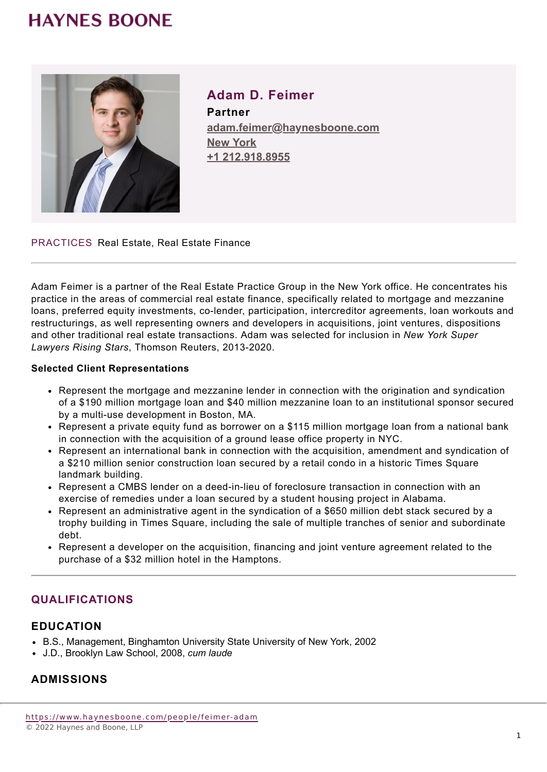## **HAYNES BOONE**



**Adam D. Feimer Partner adam.feimer@haynesboone.com [New York](https://www.haynesboone.com/locations/new-york) [+1 212.918.8955](tel://+1 212.918.8955)**

PRACTICES Real Estate, Real Estate Finance

Adam Feimer is a partner of the Real Estate Practice Group in the New York office. He concentrates his practice in the areas of commercial real estate finance, specifically related to mortgage and mezzanine loans, preferred equity investments, co-lender, participation, intercreditor agreements, loan workouts and restructurings, as well representing owners and developers in acquisitions, joint ventures, dispositions and other traditional real estate transactions. Adam was selected for inclusion in *New York Super Lawyers Rising Stars*, Thomson Reuters, 2013-2020.

#### **Selected Client Representations**

- Represent the mortgage and mezzanine lender in connection with the origination and syndication of a \$190 million mortgage loan and \$40 million mezzanine loan to an institutional sponsor secured by a multi-use development in Boston, MA.
- Represent a private equity fund as borrower on a \$115 million mortgage loan from a national bank in connection with the acquisition of a ground lease office property in NYC.
- Represent an international bank in connection with the acquisition, amendment and syndication of a \$210 million senior construction loan secured by a retail condo in a historic Times Square landmark building.
- Represent a CMBS lender on a deed-in-lieu of foreclosure transaction in connection with an exercise of remedies under a loan secured by a student housing project in Alabama.
- Represent an administrative agent in the syndication of a \$650 million debt stack secured by a trophy building in Times Square, including the sale of multiple tranches of senior and subordinate debt.
- Represent a developer on the acquisition, financing and joint venture agreement related to the purchase of a \$32 million hotel in the Hamptons.

## **QUALIFICATIONS**

#### **EDUCATION**

- B.S., Management, Binghamton University State University of New York, 2002
- J.D., Brooklyn Law School, 2008, *cum laude*

## **ADMISSIONS**

<https://www.haynesboone.com/people/feimer-adam> © 2022 Haynes and Boone, LLP